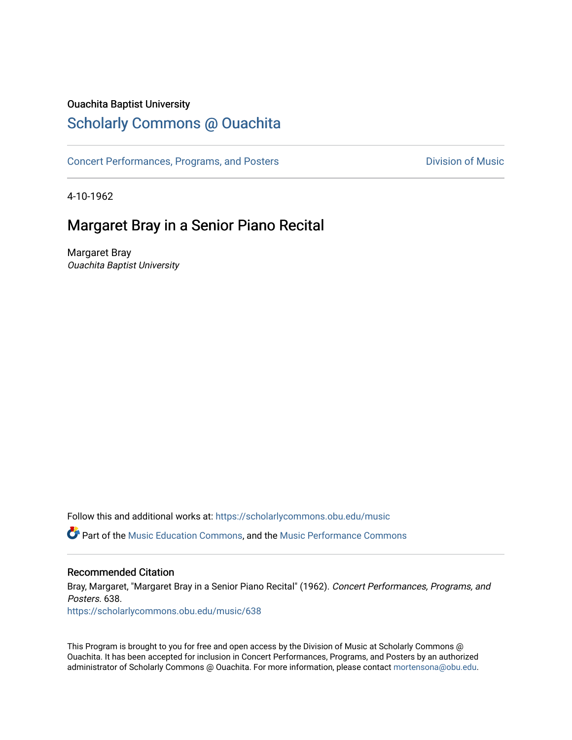### Ouachita Baptist University

# [Scholarly Commons @ Ouachita](https://scholarlycommons.obu.edu/)

[Concert Performances, Programs, and Posters](https://scholarlycommons.obu.edu/music) **Division of Music** Division of Music

4-10-1962

# Margaret Bray in a Senior Piano Recital

Margaret Bray Ouachita Baptist University

Follow this and additional works at: [https://scholarlycommons.obu.edu/music](https://scholarlycommons.obu.edu/music?utm_source=scholarlycommons.obu.edu%2Fmusic%2F638&utm_medium=PDF&utm_campaign=PDFCoverPages) 

**C** Part of the [Music Education Commons,](http://network.bepress.com/hgg/discipline/1246?utm_source=scholarlycommons.obu.edu%2Fmusic%2F638&utm_medium=PDF&utm_campaign=PDFCoverPages) and the Music Performance Commons

#### Recommended Citation

Bray, Margaret, "Margaret Bray in a Senior Piano Recital" (1962). Concert Performances, Programs, and Posters. 638.

[https://scholarlycommons.obu.edu/music/638](https://scholarlycommons.obu.edu/music/638?utm_source=scholarlycommons.obu.edu%2Fmusic%2F638&utm_medium=PDF&utm_campaign=PDFCoverPages) 

This Program is brought to you for free and open access by the Division of Music at Scholarly Commons @ Ouachita. It has been accepted for inclusion in Concert Performances, Programs, and Posters by an authorized administrator of Scholarly Commons @ Ouachita. For more information, please contact [mortensona@obu.edu](mailto:mortensona@obu.edu).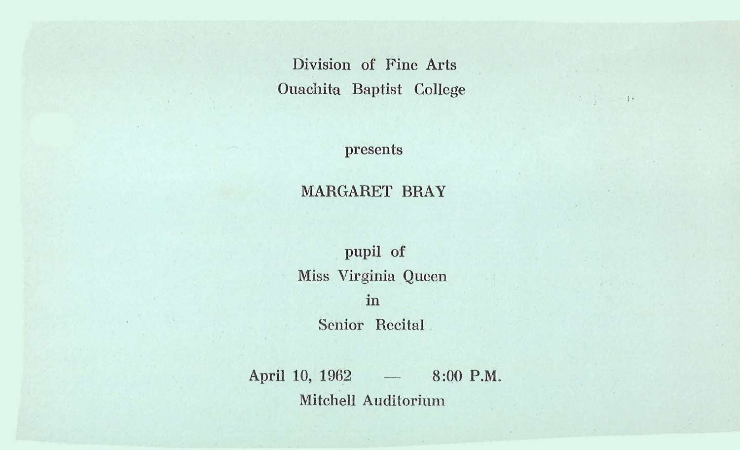Division of Fine Arts Ouachita Baptist College

 $\mathbb{P} \cup \mathbb{P} = \mathbb{P} \cup \mathbb{P}$ 

presents

#### MARGARET BRAY

pupil of Miss Virginia Queen in Senior Recital

April 10, 1962 - 8:00 P.M. Mitchell Auditorium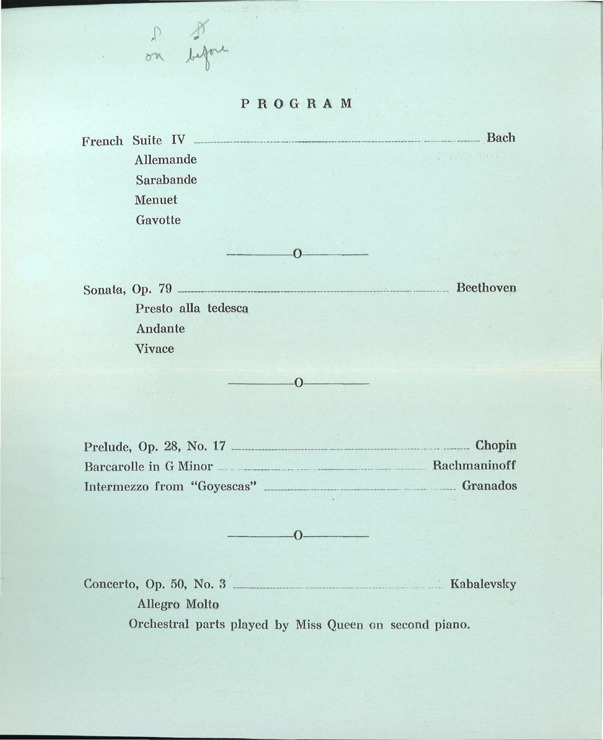#### PROGRAM

on before

French Suite IV Allemande Sarabande Menuet Gavotte Bach

Sonata, Op. 79 ----------------------------------------------------------------------- ----------- Beethove.Q. Presto alia tedesca Andante Vivace

 $-0$ 

 $-0$ ---

Prelude, Op. 28, No. 17 ----------------------------- \_\_\_\_\_\_\_\_\_\_\_\_\_\_\_\_\_\_\_\_\_\_\_\_\_\_\_ \_\_\_\_ \_\_ -------- Chopin Barcarolle in G Minor \_\_ \_ \_ \_\_\_\_\_\_\_\_\_\_\_\_ \_\_ \_\_\_ \_ \_\_\_\_\_\_\_\_\_\_\_\_ \_\_\_\_\_\_\_\_\_\_ \_\_\_\_\_\_\_ \_\_ Rachmaninoff lntE>rmezzo from "Goyescas" ----------------------------------------· \_\_ \_ \_\_\_ \_ \_\_\_\_\_\_ Granados

---------~0--------

Concerto, Op. 50, No. 3 ----------------------------------------------- \_\_ \_ \_\_ \_ Kabalevsky Allegro Molto Orchestral parts played by Miss Queen on second piano.